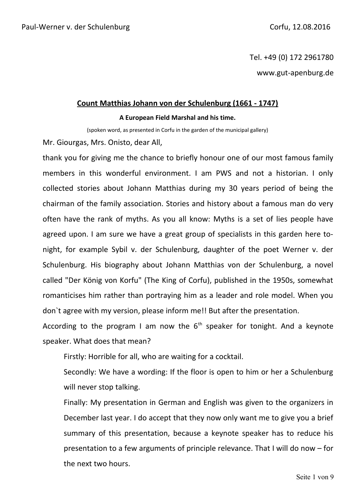Tel. +49 (0) 172 2961780 www.gut-apenburg.de

#### **Count Matthias Johann von der Schulenburg (1661 - 1747)**

#### **A European Field Marshal and his time.**

(spoken word, as presented in Corfu in the garden of the municipal gallery)

Mr. Giourgas, Mrs. Onisto, dear All,

thank you for giving me the chance to briefly honour one of our most famous family members in this wonderful environment. I am PWS and not a historian. I only collected stories about Johann Matthias during my 30 years period of being the chairman of the family association. Stories and history about a famous man do very often have the rank of myths. As you all know: Myths is a set of lies people have agreed upon. I am sure we have a great group of specialists in this garden here tonight, for example Sybil v. der Schulenburg, daughter of the poet Werner v. der Schulenburg. His biography about Johann Matthias von der Schulenburg, a novel called "Der König von Korfu" (The King of Corfu), published in the 1950s, somewhat romanticises him rather than portraying him as a leader and role model. When you don`t agree with my version, please inform me!! But after the presentation.

According to the program I am now the  $6<sup>th</sup>$  speaker for tonight. And a keynote speaker. What does that mean?

Firstly: Horrible for all, who are waiting for a cocktail.

Secondly: We have a wording: If the floor is open to him or her a Schulenburg will never stop talking.

Finally: My presentation in German and English was given to the organizers in December last year. I do accept that they now only want me to give you a brief summary of this presentation, because a keynote speaker has to reduce his presentation to a few arguments of principle relevance. That I will do now – for the next two hours.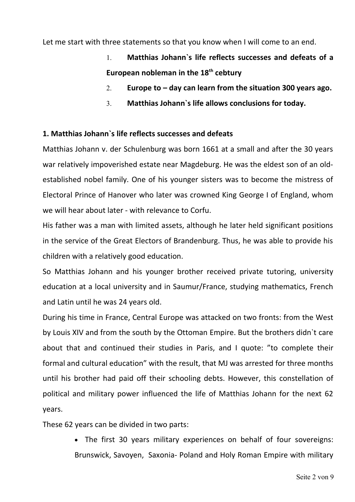Let me start with three statements so that you know when I will come to an end.

- 1. **Matthias Johann`s life reflects successes and defeats of a European nobleman in the 18th cebtury**
- 2. **Europe to day can learn from the situation 300 years ago.**
- 3. **Matthias Johann`s life allows conclusions for today.**

# **1. Matthias Johann`s life reflects successes and defeats**

Matthias Johann v. der Schulenburg was born 1661 at a small and after the 30 years war relatively impoverished estate near Magdeburg. He was the eldest son of an oldestablished nobel family. One of his younger sisters was to become the mistress of Electoral Prince of Hanover who later was crowned King George I of England, whom we will hear about later - with relevance to Corfu.

His father was a man with limited assets, although he later held significant positions in the service of the Great Electors of Brandenburg. Thus, he was able to provide his children with a relatively good education.

So Matthias Johann and his younger brother received private tutoring, university education at a local university and in Saumur/France, studying mathematics, French and Latin until he was 24 years old.

During his time in France, Central Europe was attacked on two fronts: from the West by Louis XIV and from the south by the Ottoman Empire. But the brothers didn`t care about that and continued their studies in Paris, and I quote: "to complete their formal and cultural education" with the result, that MJ was arrested for three months until his brother had paid off their schooling debts. However, this constellation of political and military power influenced the life of Matthias Johann for the next 62 years.

These 62 years can be divided in two parts:

 The first 30 years military experiences on behalf of four sovereigns: Brunswick, Savoyen, Saxonia- Poland and Holy Roman Empire with military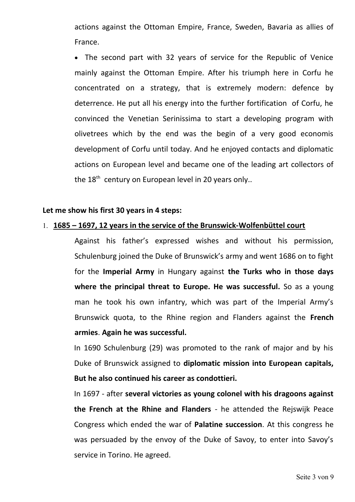actions against the Ottoman Empire, France, Sweden, Bavaria as allies of France.

 The second part with 32 years of service for the Republic of Venice mainly against the Ottoman Empire. After his triumph here in Corfu he concentrated on a strategy, that is extremely modern: defence by deterrence. He put all his energy into the further fortification of Corfu, he convinced the Venetian Serinissima to start a developing program with olivetrees which by the end was the begin of a very good economis development of Corfu until today. And he enjoyed contacts and diplomatic actions on European level and became one of the leading art collectors of the  $18<sup>th</sup>$  century on European level in 20 years only..

#### **Let me show his first 30 years in 4 steps:**

#### 1. **1685 – 1697, 12 years in the service of the Brunswick-Wolfenbüttel court**

Against his father's expressed wishes and without his permission, Schulenburg joined the Duke of Brunswick's army and went 1686 on to fight for the **Imperial Army** in Hungary against **the Turks who in those days** where the principal threat to Europe. He was successful. So as a young man he took his own infantry, which was part of the Imperial Army's Brunswick quota, to the Rhine region and Flanders against the **French armies**. **Again he was successful.**

In 1690 Schulenburg (29) was promoted to the rank of major and by his Duke of Brunswick assigned to **diplomatic mission into European capitals, But he also continued his career as condottieri.** 

In 1697 - after **several victories as young colonel with his dragoons against the French at the Rhine and Flanders** - he attended the Rejswijk Peace Congress which ended the war of **Palatine succession**. At this congress he was persuaded by the envoy of the Duke of Savoy, to enter into Savoy's service in Torino. He agreed.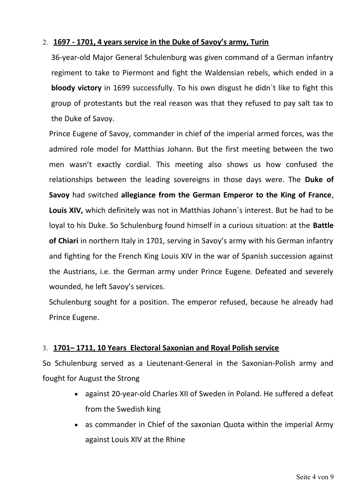# 2. **1697 - 1701, 4 years service in the Duke of Savoy's army, Turin**

36-year-old Major General Schulenburg was given command of a German infantry regiment to take to Piermont and fight the Waldensian rebels, which ended in a **bloody victory** in 1699 successfully. To his own disgust he didn`t like to fight this group of protestants but the real reason was that they refused to pay salt tax to the Duke of Savoy.

Prince Eugene of Savoy, commander in chief of the imperial armed forces, was the admired role model for Matthias Johann. But the first meeting between the two men wasn't exactly cordial. This meeting also shows us how confused the relationships between the leading sovereigns in those days were. The **Duke of Savoy** had switched **allegiance from the German Emperor to the King of France**, **Louis XIV,** which definitely was not in Matthias Johann`s interest. But he had to be loyal to his Duke. So Schulenburg found himself in a curious situation: at the **Battle of Chiari** in northern Italy in 1701, serving in Savoy's army with his German infantry and fighting for the French King Louis XIV in the war of Spanish succession against the Austrians, i.e. the German army under Prince Eugene. Defeated and severely wounded, he left Savoy's services.

Schulenburg sought for a position. The emperor refused, because he already had Prince Eugene.

# 3. **1701– 1711, 10 Years Electoral Saxonian and Royal Polish service**

So Schulenburg served as a Lieutenant-General in the Saxonian-Polish army and fought for August the Strong

- against 20-year-old Charles XII of Sweden in Poland. He suffered a defeat from the Swedish king
- as commander in Chief of the saxonian Quota within the imperial Army against Louis XIV at the Rhine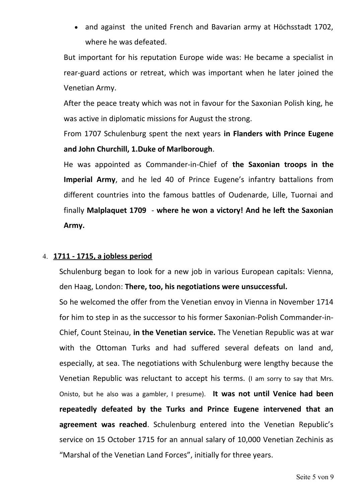• and against the united French and Bavarian army at Höchsstadt 1702, where he was defeated.

But important for his reputation Europe wide was: He became a specialist in rear-guard actions or retreat, which was important when he later joined the Venetian Army.

After the peace treaty which was not in favour for the Saxonian Polish king, he was active in diplomatic missions for August the strong.

From 1707 Schulenburg spent the next years **in Flanders with Prince Eugene and John Churchill, 1.Duke of Marlborough**.

He was appointed as Commander-in-Chief of **the Saxonian troops in the Imperial Army**, and he led 40 of Prince Eugene's infantry battalions from different countries into the famous battles of Oudenarde, Lille, Tuornai and finally **Malplaquet 1709** - **where he won a victory! And he left the Saxonian Army.**

## 4. **1711 - 1715, a jobless period**

Schulenburg began to look for a new job in various European capitals: Vienna, den Haag, London: **There, too, his negotiations were unsuccessful.**

So he welcomed the offer from the Venetian envoy in Vienna in November 1714 for him to step in as the successor to his former Saxonian-Polish Commander-in-Chief, Count Steinau, **in the Venetian service.** The Venetian Republic was at war with the Ottoman Turks and had suffered several defeats on land and, especially, at sea. The negotiations with Schulenburg were lengthy because the Venetian Republic was reluctant to accept his terms. (I am sorry to say that Mrs. Onisto, but he also was a gambler, I presume). **It was not until Venice had been repeatedly defeated by the Turks and Prince Eugene intervened that an agreement was reached**. Schulenburg entered into the Venetian Republic's service on 15 October 1715 for an annual salary of 10,000 Venetian Zechinis as "Marshal of the Venetian Land Forces", initially for three years.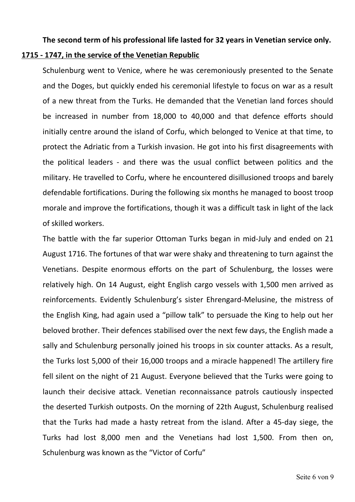# **The second term of his professional life lasted for 32 years in Venetian service only. 1715 - 1747, in the service of the Venetian Republic**

Schulenburg went to Venice, where he was ceremoniously presented to the Senate and the Doges, but quickly ended his ceremonial lifestyle to focus on war as a result of a new threat from the Turks. He demanded that the Venetian land forces should be increased in number from 18,000 to 40,000 and that defence efforts should initially centre around the island of Corfu, which belonged to Venice at that time, to protect the Adriatic from a Turkish invasion. He got into his first disagreements with the political leaders - and there was the usual conflict between politics and the military. He travelled to Corfu, where he encountered disillusioned troops and barely defendable fortifications. During the following six months he managed to boost troop morale and improve the fortifications, though it was a difficult task in light of the lack of skilled workers.

The battle with the far superior Ottoman Turks began in mid-July and ended on 21 August 1716. The fortunes of that war were shaky and threatening to turn against the Venetians. Despite enormous efforts on the part of Schulenburg, the losses were relatively high. On 14 August, eight English cargo vessels with 1,500 men arrived as reinforcements. Evidently Schulenburg's sister Ehrengard-Melusine, the mistress of the English King, had again used a "pillow talk" to persuade the King to help out her beloved brother. Their defences stabilised over the next few days, the English made a sally and Schulenburg personally joined his troops in six counter attacks. As a result, the Turks lost 5,000 of their 16,000 troops and a miracle happened! The artillery fire fell silent on the night of 21 August. Everyone believed that the Turks were going to launch their decisive attack. Venetian reconnaissance patrols cautiously inspected the deserted Turkish outposts. On the morning of 22th August, Schulenburg realised that the Turks had made a hasty retreat from the island. After a 45-day siege, the Turks had lost 8,000 men and the Venetians had lost 1,500. From then on, Schulenburg was known as the "Victor of Corfu"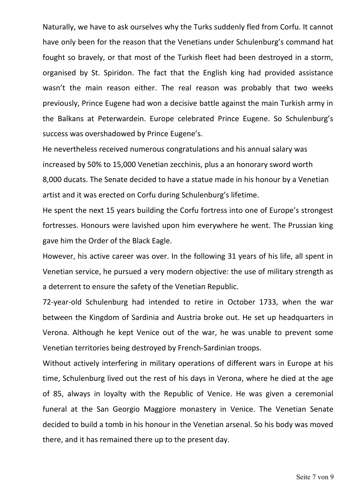Naturally, we have to ask ourselves why the Turks suddenly fled from Corfu. It cannot have only been for the reason that the Venetians under Schulenburg's command hat fought so bravely, or that most of the Turkish fleet had been destroyed in a storm, organised by St. Spiridon. The fact that the English king had provided assistance wasn't the main reason either. The real reason was probably that two weeks previously, Prince Eugene had won a decisive battle against the main Turkish army in the Balkans at Peterwardein. Europe celebrated Prince Eugene. So Schulenburg's success was overshadowed by Prince Eugene's.

He nevertheless received numerous congratulations and his annual salary was increased by 50% to 15,000 Venetian zecchinis, plus a an honorary sword worth 8,000 ducats. The Senate decided to have a statue made in his honour by a Venetian artist and it was erected on Corfu during Schulenburg's lifetime.

He spent the next 15 years building the Corfu fortress into one of Europe's strongest fortresses. Honours were lavished upon him everywhere he went. The Prussian king gave him the Order of the Black Eagle.

However, his active career was over. In the following 31 years of his life, all spent in Venetian service, he pursued a very modern objective: the use of military strength as a deterrent to ensure the safety of the Venetian Republic.

72-year-old Schulenburg had intended to retire in October 1733, when the war between the Kingdom of Sardinia and Austria broke out. He set up headquarters in Verona. Although he kept Venice out of the war, he was unable to prevent some Venetian territories being destroyed by French-Sardinian troops.

Without actively interfering in military operations of different wars in Europe at his time, Schulenburg lived out the rest of his days in Verona, where he died at the age of 85, always in loyalty with the Republic of Venice. He was given a ceremonial funeral at the San Georgio Maggiore monastery in Venice. The Venetian Senate decided to build a tomb in his honour in the Venetian arsenal. So his body was moved there, and it has remained there up to the present day.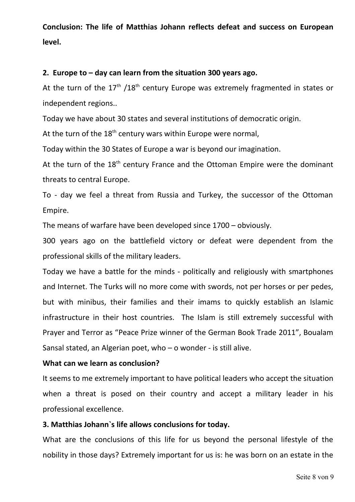**Conclusion: The life of Matthias Johann reflects defeat and success on European level.**

## **2. Europe to – day can learn from the situation 300 years ago.**

At the turn of the  $17<sup>th</sup>$  /18<sup>th</sup> century Europe was extremely fragmented in states or independent regions..

Today we have about 30 states and several institutions of democratic origin.

At the turn of the  $18<sup>th</sup>$  century wars within Europe were normal,

Today within the 30 States of Europe a war is beyond our imagination.

At the turn of the 18<sup>th</sup> century France and the Ottoman Empire were the dominant threats to central Europe.

To - day we feel a threat from Russia and Turkey, the successor of the Ottoman Empire.

The means of warfare have been developed since 1700 – obviously.

300 years ago on the battlefield victory or defeat were dependent from the professional skills of the military leaders.

Today we have a battle for the minds - politically and religiously with smartphones and Internet. The Turks will no more come with swords, not per horses or per pedes, but with minibus, their families and their imams to quickly establish an Islamic infrastructure in their host countries. The Islam is still extremely successful with Prayer and Terror as "Peace Prize winner of the German Book Trade 2011", Boualam Sansal stated, an Algerian poet, who – o wonder - is still alive.

## **What can we learn as conclusion?**

It seems to me extremely important to have political leaders who accept the situation when a threat is posed on their country and accept a military leader in his professional excellence.

## **3. Matthias Johann`s life allows conclusions for today.**

What are the conclusions of this life for us beyond the personal lifestyle of the nobility in those days? Extremely important for us is: he was born on an estate in the